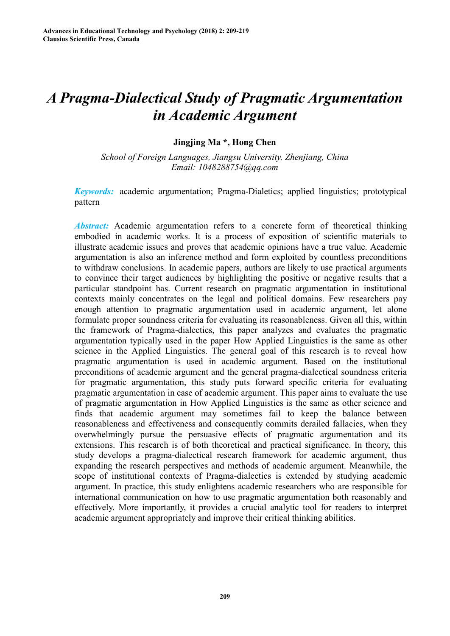# *A Pragma-Dialectical Study of Pragmatic Argumentation in Academic Argument*

## **Jingjing Ma \*, Hong Chen**

*School of Foreign Languages, Jiangsu University, Zhenjiang, China Email: 1048288754@qq.com* 

*Keywords:* academic argumentation; Pragma-Dialetics; applied linguistics; prototypical pattern

*Abstract:* Academic argumentation refers to a concrete form of theoretical thinking embodied in academic works. It is a process of exposition of scientific materials to illustrate academic issues and proves that academic opinions have a true value. Academic argumentation is also an inference method and form exploited by countless preconditions to withdraw conclusions. In academic papers, authors are likely to use practical arguments to convince their target audiences by highlighting the positive or negative results that a particular standpoint has. Current research on pragmatic argumentation in institutional contexts mainly concentrates on the legal and political domains. Few researchers pay enough attention to pragmatic argumentation used in academic argument, let alone formulate proper soundness criteria for evaluating its reasonableness. Given all this, within the framework of Pragma-dialectics, this paper analyzes and evaluates the pragmatic argumentation typically used in the paper How Applied Linguistics is the same as other science in the Applied Linguistics. The general goal of this research is to reveal how pragmatic argumentation is used in academic argument. Based on the institutional preconditions of academic argument and the general pragma-dialectical soundness criteria for pragmatic argumentation, this study puts forward specific criteria for evaluating pragmatic argumentation in case of academic argument. This paper aims to evaluate the use of pragmatic argumentation in How Applied Linguistics is the same as other science and finds that academic argument may sometimes fail to keep the balance between reasonableness and effectiveness and consequently commits derailed fallacies, when they overwhelmingly pursue the persuasive effects of pragmatic argumentation and its extensions. This research is of both theoretical and practical significance. In theory, this study develops a pragma-dialectical research framework for academic argument, thus expanding the research perspectives and methods of academic argument. Meanwhile, the scope of institutional contexts of Pragma-dialectics is extended by studying academic argument. In practice, this study enlightens academic researchers who are responsible for international communication on how to use pragmatic argumentation both reasonably and effectively. More importantly, it provides a crucial analytic tool for readers to interpret academic argument appropriately and improve their critical thinking abilities. **2008**<br>
Advances in Educational Technology and Psychology (2018) 2: 209-219<br> **2018**<br> **2018** *in Academic Ar*<br> *ingling Ma \*, Homple and Psychology and Psychology (2018) 2: 209-219<br>
<b><i>ingling Ma \*, Homple and Figure and*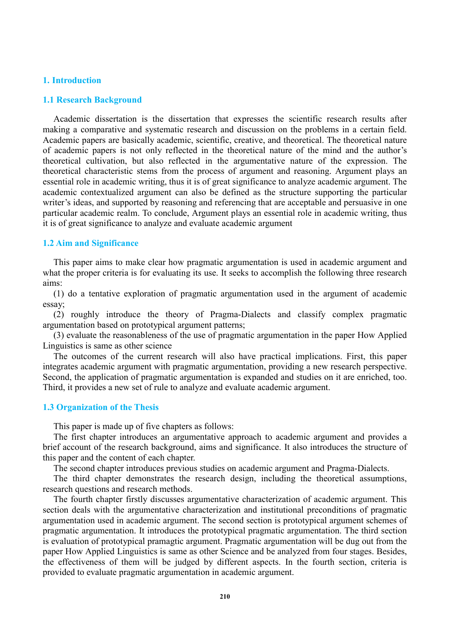#### **1. Introduction**

#### **1.1 Research Background**

Academic dissertation is the dissertation that expresses the scientific research results after making a comparative and systematic research and discussion on the problems in a certain field. Academic papers are basically academic, scientific, creative, and theoretical. The theoretical nature of academic papers is not only reflected in the theoretical nature of the mind and the author's theoretical cultivation, but also reflected in the argumentative nature of the expression. The theoretical characteristic stems from the process of argument and reasoning. Argument plays an essential role in academic writing, thus it is of great significance to analyze academic argument. The academic contextualized argument can also be defined as the structure supporting the particular writer's ideas, and supported by reasoning and referencing that are acceptable and persuasive in one particular academic realm. To conclude, Argument plays an essential role in academic writing, thus it is of great significance to analyze and evaluate academic argument

#### **1.2 Aim and Significance**

This paper aims to make clear how pragmatic argumentation is used in academic argument and what the proper criteria is for evaluating its use. It seeks to accomplish the following three research aims:

(1) do a tentative exploration of pragmatic argumentation used in the argument of academic essay;

(2) roughly introduce the theory of Pragma-Dialects and classify complex pragmatic argumentation based on prototypical argument patterns;

(3) evaluate the reasonableness of the use of pragmatic argumentation in the paper How Applied Linguistics is same as other science

The outcomes of the current research will also have practical implications. First, this paper integrates academic argument with pragmatic argumentation, providing a new research perspective. Second, the application of pragmatic argumentation is expanded and studies on it are enriched, too. Third, it provides a new set of rule to analyze and evaluate academic argument.

#### **1.3 Organization of the Thesis**

This paper is made up of five chapters as follows:

The first chapter introduces an argumentative approach to academic argument and provides a brief account of the research background, aims and significance. It also introduces the structure of this paper and the content of each chapter.

The second chapter introduces previous studies on academic argument and Pragma-Dialects.

The third chapter demonstrates the research design, including the theoretical assumptions, research questions and research methods.

The fourth chapter firstly discusses argumentative characterization of academic argument. This section deals with the argumentative characterization and institutional preconditions of pragmatic argumentation used in academic argument. The second section is prototypical argument schemes of pragmatic argumentation. It introduces the prototypical pragmatic argumentation. The third section is evaluation of prototypical pramagtic argument. Pragmatic argumentation will be dug out from the paper How Applied Linguistics is same as other Science and be analyzed from four stages. Besides, the effectiveness of them will be judged by different aspects. In the fourth section, criteria is provided to evaluate pragmatic argumentation in academic argument.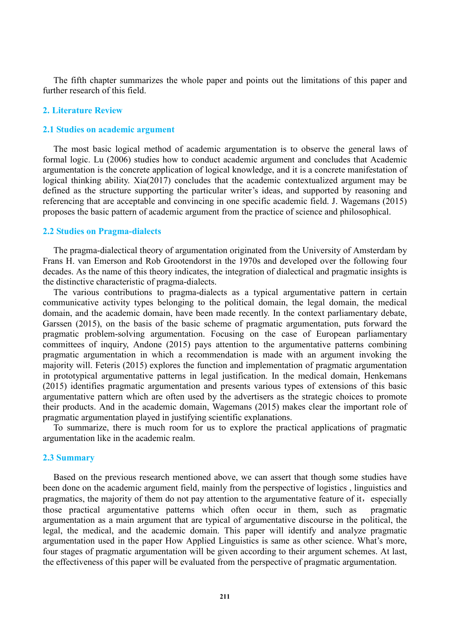The fifth chapter summarizes the whole paper and points out the limitations of this paper and further research of this field.

#### **2. Literature Review**

#### **2.1 Studies on academic argument**

The most basic logical method of academic argumentation is to observe the general laws of formal logic. Lu (2006) studies how to conduct academic argument and concludes that Academic argumentation is the concrete application of logical knowledge, and it is a concrete manifestation of logical thinking ability. Xia(2017) concludes that the academic contextualized argument may be defined as the structure supporting the particular writer's ideas, and supported by reasoning and referencing that are acceptable and convincing in one specific academic field. J. Wagemans (2015) proposes the basic pattern of academic argument from the practice of science and philosophical.

#### **2.2 Studies on Pragma-dialects**

The pragma-dialectical theory of argumentation originated from the University of Amsterdam by Frans H. van Emerson and Rob Grootendorst in the 1970s and developed over the following four decades. As the name of this theory indicates, the integration of dialectical and pragmatic insights is the distinctive characteristic of pragma-dialects.

The various contributions to pragma-dialects as a typical argumentative pattern in certain communicative activity types belonging to the political domain, the legal domain, the medical domain, and the academic domain, have been made recently. In the context parliamentary debate, Garssen (2015), on the basis of the basic scheme of pragmatic argumentation, puts forward the pragmatic problem-solving argumentation. Focusing on the case of European parliamentary committees of inquiry, Andone (2015) pays attention to the argumentative patterns combining pragmatic argumentation in which a recommendation is made with an argument invoking the majority will. Feteris (2015) explores the function and implementation of pragmatic argumentation in prototypical argumentative patterns in legal justification. In the medical domain, Henkemans (2015) identifies pragmatic argumentation and presents various types of extensions of this basic argumentative pattern which are often used by the advertisers as the strategic choices to promote their products. And in the academic domain, Wagemans (2015) makes clear the important role of pragmatic argumentation played in justifying scientific explanations.

To summarize, there is much room for us to explore the practical applications of pragmatic argumentation like in the academic realm.

#### **2.3 Summary**

Based on the previous research mentioned above, we can assert that though some studies have been done on the academic argument field, mainly from the perspective of logistics , linguistics and pragmatics, the majority of them do not pay attention to the argumentative feature of it, especially those practical argumentative patterns which often occur in them, such as pragmatic argumentation as a main argument that are typical of argumentative discourse in the political, the legal, the medical, and the academic domain. This paper will identify and analyze pragmatic argumentation used in the paper How Applied Linguistics is same as other science. What's more, four stages of pragmatic argumentation will be given according to their argument schemes. At last, the effectiveness of this paper will be evaluated from the perspective of pragmatic argumentation.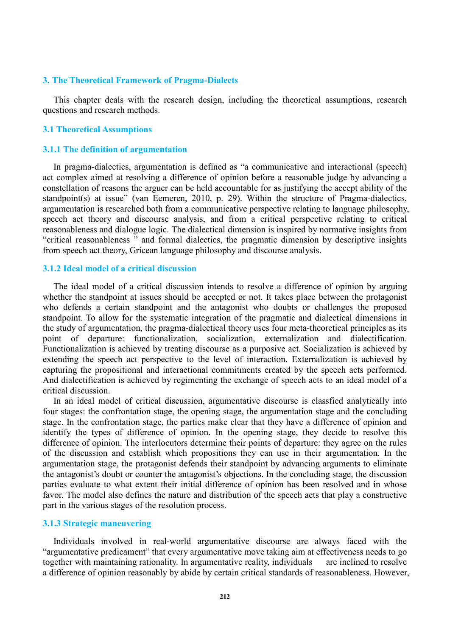#### **3. The Theoretical Framework of Pragma-Dialects**

This chapter deals with the research design, including the theoretical assumptions, research questions and research methods.

#### **3.1 Theoretical Assumptions**

#### **3.1.1 The definition of argumentation**

In pragma-dialectics, argumentation is defined as "a communicative and interactional (speech) act complex aimed at resolving a difference of opinion before a reasonable judge by advancing a constellation of reasons the arguer can be held accountable for as justifying the accept ability of the standpoint(s) at issue" (van Eemeren, 2010, p. 29). Within the structure of Pragma-dialectics, argumentation is researched both from a communicative perspective relating to language philosophy, speech act theory and discourse analysis, and from a critical perspective relating to critical reasonableness and dialogue logic. The dialectical dimension is inspired by normative insights from ["critical reasonableness](https://en.wikipedia.org/wiki/Critical_rationalism) " and formal dialectics, the pragmatic dimension by descriptive insights from [speech act](https://en.wikipedia.org/wiki/Speech_act_theory) theory, [Gricean](https://en.wikipedia.org/wiki/Paul_Grice) language philosophy and [discourse analysis.](https://en.wikipedia.org/wiki/Discourse_analysis)

## **3.1.2 Ideal model of a critical discussion**

The ideal model of a critical discussion intends to resolve a difference of opinion by arguing whether the standpoint at issues should be accepted or not. It takes place between the protagonist who defends a certain standpoint and the antagonist who doubts or challenges the proposed standpoint. To allow for the systematic integration of the pragmatic and dialectical dimensions in the study of argumentation, the pragma-dialectical theory uses four meta-theoretical principles as its point of departure: functionalization, socialization, externalization and dialectification. Functionalization is achieved by treating discourse as a purposive act. Socialization is achieved by extending the speech act perspective to the level of interaction. Externalization is achieved by capturing the propositional and interactional commitments created by the speech acts performed. And dialectification is achieved by regimenting the exchange of speech acts to an ideal model of a critical discussion.

In an ideal model of critical discussion, argumentative discourse is classfied analytically into four stages: the confrontation stage, the opening stage, the argumentation stage and the concluding stage. In the confrontation stage, the parties make clear that they have a difference of opinion and identify the types of difference of opinion. In the opening stage, they decide to resolve this difference of opinion. The interlocutors determine their points of departure: they agree on the rules of the discussion and establish which propositions they can use in their argumentation. In the argumentation stage, the protagonist defends their standpoint by advancing arguments to eliminate the antagonist's doubt or counter the antagonist's objections. In the concluding stage, the discussion parties evaluate to what extent their initial difference of opinion has been resolved and in whose favor. The model also defines the nature and distribution of the speech acts that play a constructive part in the various stages of the resolution process.

### **3.1.3 Strategic maneuvering**

Individuals involved in real-world argumentative discourse are always faced with the "argumentative predicament" that every argumentative move taking aim at effectiveness needs to go together with maintaining rationality. In argumentative reality, individuals are inclined to resolve a difference of opinion reasonably by abide by certain critical standards of reasonableness. However,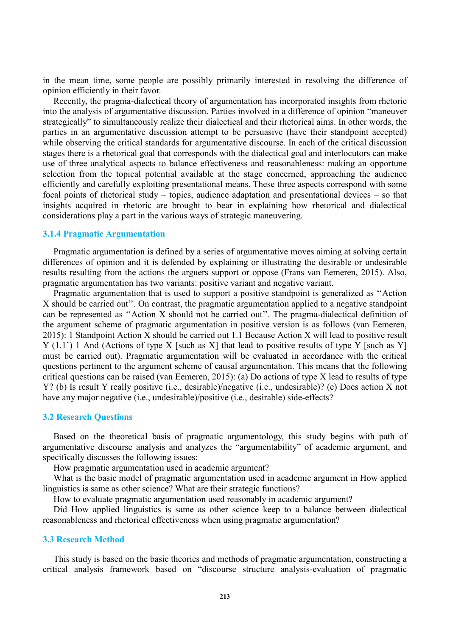in the mean time, some people are possibly primarily interested in resolving the difference of opinion efficiently in their favor.

Recently, the pragma-dialectical theory of argumentation has incorporated insights from rhetoric into the analysis of argumentative discussion. Parties involved in a difference of opinion "maneuver strategically" to simultaneously realize their dialectical and their rhetorical aims. In other words, the parties in an argumentative discussion attempt to be persuasive (have their standpoint accepted) while observing the critical standards for argumentative discourse. In each of the critical discussion stages there is a rhetorical goal that corresponds with the dialectical goal and interlocutors can make use of three analytical aspects to balance effectiveness and reasonableness: making an opportune selection from the topical potential available at the stage concerned, approaching the audience efficiently and carefully exploiting presentational means. These three aspects correspond with some focal points of rhetorical study – topics, audience adaptation and presentational devices – so that insights acquired in rhetoric are brought to bear in explaining how rhetorical and dialectical considerations play a part in the various ways of strategic maneuvering.

#### **3.1.4 Pragmatic Argumentation**

Pragmatic argumentation is defined by a series of argumentative moves aiming at solving certain differences of opinion and it is defended by explaining or illustrating the desirable or undesirable results resulting from the actions the arguers support or oppose (Frans van Eemeren, 2015). Also, pragmatic argumentation has two variants: positive variant and negative variant.

Pragmatic argumentation that is used to support a positive standpoint is generalized as ''Action X should be carried out''. On contrast, the pragmatic argumentation applied to a negative standpoint can be represented as ''Action X should not be carried out''. The pragma-dialectical definition of the argument scheme of pragmatic argumentation in positive version is as follows (van Eemeren, 2015): 1 Standpoint Action X should be carried out 1.1 Because Action X will lead to positive result Y (1.1') 1 And (Actions of type X [such as X] that lead to positive results of type Y [such as Y] must be carried out). Pragmatic argumentation will be evaluated in accordance with the critical questions pertinent to the argument scheme of causal argumentation. This means that the following critical questions can be raised (van Eemeren, 2015): (a) Do actions of type X lead to results of type Y? (b) Is result Y really positive (i.e., desirable)/negative (i.e., undesirable)? (c) Does action X not have any major negative (i.e., undesirable)/positive (i.e., desirable) side-effects?

#### **3.2 Research Questions**

Based on the theoretical basis of pragmatic argumentology, this study begins with path of argumentative discourse analysis and analyzes the "argumentability" of academic argument, and specifically discusses the following issues:

How pragmatic argumentation used in academic argument?

What is the basic model of pragmatic argumentation used in academic argument in How applied linguistics is same as other science? What are their strategic functions?

How to evaluate pragmatic argumentation used reasonably in academic argument?

Did How applied linguistics is same as other science keep to a balance between dialectical reasonableness and rhetorical effectiveness when using pragmatic argumentation?

#### **3.3 Research Method**

This study is based on the basic theories and methods of pragmatic argumentation, constructing a critical analysis framework based on "discourse structure analysis-evaluation of pragmatic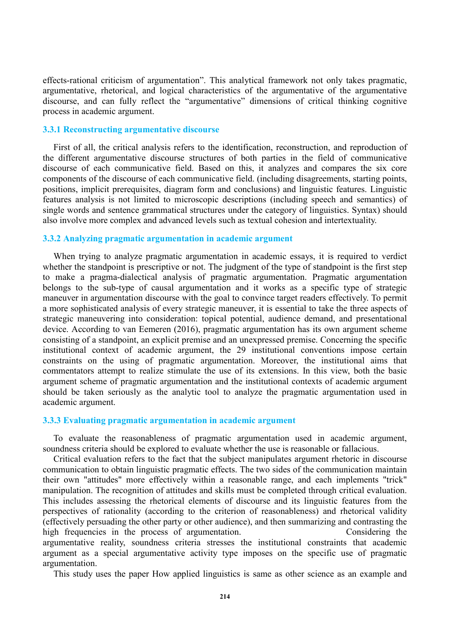effects-rational criticism of argumentation". This analytical framework not only takes pragmatic, argumentative, rhetorical, and logical characteristics of the argumentative of the argumentative discourse, and can fully reflect the "argumentative" dimensions of critical thinking cognitive process in academic argument.

#### **3.3.1 Reconstructing argumentative discourse**

First of all, the critical analysis refers to the identification, reconstruction, and reproduction of the different argumentative discourse structures of both parties in the field of communicative discourse of each communicative field. Based on this, it analyzes and compares the six core components of the discourse of each communicative field. (including disagreements, starting points, positions, implicit prerequisites, diagram form and conclusions) and linguistic features. Linguistic features analysis is not limited to microscopic descriptions (including speech and semantics) of single words and sentence grammatical structures under the category of linguistics. Syntax) should also involve more complex and advanced levels such as textual cohesion and intertextuality.

#### **3.3.2 Analyzing pragmatic argumentation in academic argument**

When trying to analyze pragmatic argumentation in academic essays, it is required to verdict whether the standpoint is prescriptive or not. The judgment of the type of standpoint is the first step to make a pragma-dialectical analysis of pragmatic argumentation. Pragmatic argumentation belongs to the sub-type of causal argumentation and it works as a specific type of strategic maneuver in argumentation discourse with the goal to convince target readers effectively. To permit a more sophisticated analysis of every strategic maneuver, it is essential to take the three aspects of strategic maneuvering into consideration: topical potential, audience demand, and presentational device. According to van Eemeren (2016), pragmatic argumentation has its own argument scheme consisting of a standpoint, an explicit premise and an unexpressed premise. Concerning the specific institutional context of academic argument, the 29 institutional conventions impose certain constraints on the using of pragmatic argumentation. Moreover, the institutional aims that commentators attempt to realize stimulate the use of its extensions. In this view, both the basic argument scheme of pragmatic argumentation and the institutional contexts of academic argument should be taken seriously as the analytic tool to analyze the pragmatic argumentation used in academic argument.

#### **3.3.3 Evaluating pragmatic argumentation in academic argument**

To evaluate the reasonableness of pragmatic argumentation used in academic argument, soundness criteria should be explored to evaluate whether the use is reasonable or fallacious.

Critical evaluation refers to the fact that the subject manipulates argument rhetoric in discourse communication to obtain linguistic pragmatic effects. The two sides of the communication maintain their own "attitudes" more effectively within a reasonable range, and each implements "trick" manipulation. The recognition of attitudes and skills must be completed through critical evaluation. This includes assessing the rhetorical elements of discourse and its linguistic features from the perspectives of rationality (according to the criterion of reasonableness) and rhetorical validity (effectively persuading the other party or other audience), and then summarizing and contrasting the high frequencies in the process of argumentation. Considering the argumentative reality, soundness criteria stresses the institutional constraints that academic argument as a special argumentative activity type imposes on the specific use of pragmatic argumentation.

This study uses the paper How applied linguistics is same as other science as an example and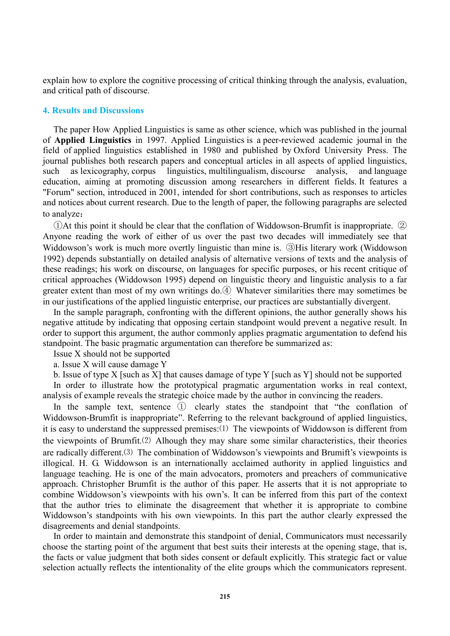explain how to explore the cognitive processing of critical thinking through the analysis, evaluation, and critical path of discourse.

#### **4. Results and Discussions**

The paper How Applied Linguistics is same as other science, which was published in the journal of **Applied Linguistics** in 1997. Applied Linguistics is a peer-reviewed academic journal in the field of applied linguistics established in 1980 and published by Oxford University Press. The journal publishes both research papers and conceptual articles in all aspects of applied linguistics, such as lexicography, corpus linguistics, multilingualism, discourse analysis, and language education, aiming at promoting discussion among researchers in different fields. It features a "Forum" section, introduced in 2001, intended for short contributions, such as responses to articles and notices about current research. Due to the length of paper, the following paragraphs are selected to analyze:

①At this point it should be clear that the conflation of Widdowson-Brumfit is inappropriate. ② Anyone reading the work of either of us over the past two decades will immediately see that Widdowson's work is much more overtly linguistic than mine is. ③His literary work (Widdowson 1992) depends substantially on detailed analysis of alternative versions of texts and the analysis of these readings; his work on discourse, on languages for specific purposes, or his recent critique of critical approaches (Widdowson 1995) depend on linguistic theory and linguistic analysis to a far greater extent than most of my own writings do.④ Whatever similarities there may sometimes be in our justifications of the applied linguistic enterprise, our practices are substantially divergent.

In the sample paragraph, confronting with the different opinions, the author generally shows his negative attitude by indicating that opposing certain standpoint would prevent a negative result. In order to support this argument, the author commonly applies pragmatic argumentation to defend his standpoint. The basic pragmatic argumentation can therefore be summarized as:

Issue X should not be supported

a. Issue X will cause damage Y

b. Issue of type X [such as X] that causes damage of type Y [such as Y] should not be supported

In order to illustrate how the prototypical pragmatic argumentation works in real context, analysis of example reveals the strategic choice made by the author in convincing the readers.

In the sample text, sentence ① clearly states the standpoint that "the conflation of Widdowson-Brumfit is inappropriate". Referring to the relevant background of applied linguistics, it is easy to understand the suppressed premises:⑴ The viewpoints of Widdowson is different from the viewpoints of Brumfit.⑵ Alhough they may share some similar characteristics, their theories are radically different.⑶ The combination of Widdowson's viewpoints and Brumift's viewpoints is illogical. H. G. Widdowson is an internationally acclaimed authority in applied linguistics and language teaching. He is one of the main advocators, promoters and preachers of communicative approach. Christopher Brumfit is the author of this paper. He asserts that it is not appropriate to combine Widdowson's viewpoints with his own's. It can be inferred from this part of the context that the author tries to eliminate the disagreement that whether it is appropriate to combine Widdowson's standpoints with his own viewpoints. In this part the author clearly expressed the disagreements and denial standpoints.

In order to maintain and demonstrate this standpoint of denial, Communicators must necessarily choose the starting point of the argument that best suits their interests at the opening stage, that is, the facts or value judgment that both sides consent or default explicitly. This strategic fact or value selection actually reflects the intentionality of the elite groups which the communicators represent.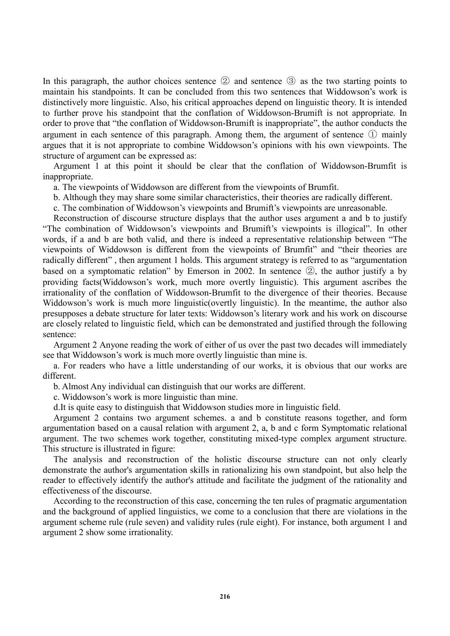In this paragraph, the author choices sentence ② and sentence ③ as the two starting points to maintain his standpoints. It can be concluded from this two sentences that Widdowson's work is distinctively more linguistic. Also, his critical approaches depend on linguistic theory. It is intended to further prove his standpoint that the conflation of Widdowson-Brumift is not appropriate. In order to prove that "the conflation of Widdowson-Brumift is inappropriate", the author conducts the argument in each sentence of this paragraph. Among them, the argument of sentence ① mainly argues that it is not appropriate to combine Widdowson's opinions with his own viewpoints. The structure of argument can be expressed as:

Argument 1 at this point it should be clear that the conflation of Widdowson-Brumfit is inappropriate.

a. The viewpoints of Widdowson are different from the viewpoints of Brumfit.

b. Although they may share some similar characteristics, their theories are radically different.

c. The combination of Widdowson's viewpoints and Brumift's viewpoints are unreasonable.

Reconstruction of discourse structure displays that the author uses argument a and b to justify "The combination of Widdowson's viewpoints and Brumift's viewpoints is illogical". In other words, if a and b are both valid, and there is indeed a representative relationship between "The viewpoints of Widdowson is different from the viewpoints of Brumfit" and "their theories are radically different" , then argument 1 holds. This argument strategy is referred to as "argumentation based on a symptomatic relation" by Emerson in 2002. In sentence ②, the author justify a by providing facts(Widdowson's work, much more overtly linguistic). This argument ascribes the irrationality of the conflation of Widdowson-Brumfit to the divergence of their theories. Because Widdowson's work is much more linguistic(overtly linguistic). In the meantime, the author also presupposes a debate structure for later texts: Widdowson's literary work and his work on discourse are closely related to linguistic field, which can be demonstrated and justified through the following sentence:

Argument 2 Anyone reading the work of either of us over the past two decades will immediately see that Widdowson's work is much more overtly linguistic than mine is.

a. For readers who have a little understanding of our works, it is obvious that our works are different.

b. Almost Any individual can distinguish that our works are different.

c. Widdowson's work is more linguistic than mine.

d.It is quite easy to distinguish that Widdowson studies more in linguistic field.

Argument 2 contains two argument schemes. a and b constitute reasons together, and form argumentation based on a causal relation with argument 2, a, b and c form Symptomatic relational argument. The two schemes work together, constituting mixed-type complex argument structure. This structure is illustrated in figure:

The analysis and reconstruction of the holistic discourse structure can not only clearly demonstrate the author's argumentation skills in rationalizing his own standpoint, but also help the reader to effectively identify the author's attitude and facilitate the judgment of the rationality and effectiveness of the discourse.

According to the reconstruction of this case, concerning the ten rules of pragmatic argumentation and the background of applied linguistics, we come to a conclusion that there are violations in the argument scheme rule (rule seven) and validity rules (rule eight). For instance, both argument 1 and argument 2 show some irrationality.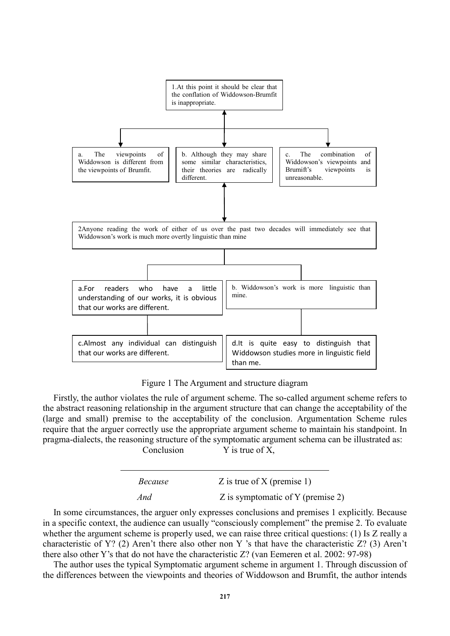

Figure 1 The Argument and structure diagram

Firstly, the author violates the rule of argument scheme. The so-called argument scheme refers to the abstract reasoning relationship in the argument structure that can change the acceptability of the (large and small) premise to the acceptability of the conclusion. Argumentation Scheme rules require that the arguer correctly use the appropriate argument scheme to maintain his standpoint. In pragma-dialects, the reasoning structure of the symptomatic argument schema can be illustrated as: Conclusion  $Y$  is true of  $X$ .

| Because | Z is true of X (premise 1)        |
|---------|-----------------------------------|
| And     | Z is symptomatic of Y (premise 2) |

In some circumstances, the arguer only expresses conclusions and premises 1 explicitly. Because in a specific context, the audience can usually "consciously complement" the premise 2. To evaluate whether the argument scheme is properly used, we can raise three critical questions: (1) Is Z really a characteristic of Y? (2) Aren't there also other non Y 's that have the characteristic Z? (3) Aren't there also other Y's that do not have the characteristic Z? (van Eemeren et al. 2002: 97-98)

The author uses the typical Symptomatic argument scheme in argument 1. Through discussion of the differences between the viewpoints and theories of Widdowson and Brumfit, the author intends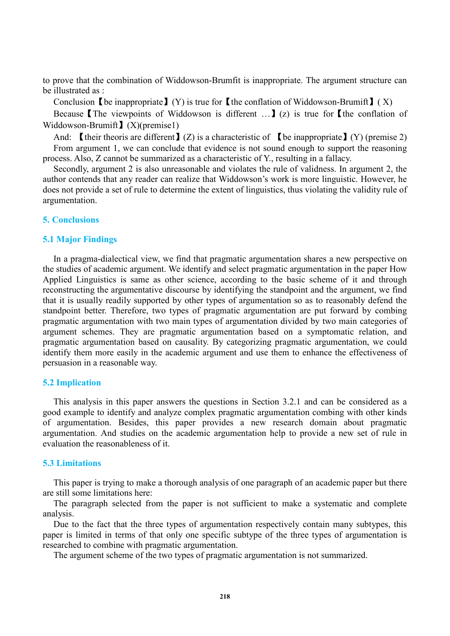to prove that the combination of Widdowson-Brumfit is inappropriate. The argument structure can be illustrated as :

Conclusion 【be inappropriate】(Y) is true for 【the conflation of Widdowson-Brumift】(X)

Because The viewpoints of Widdowson is different  $\ldots$  (z) is true for the conflation of Widdowson-Brumift  $\sum$  (X)(premise1)

And: I their theoris are different  $\mathbf{I}(Z)$  is a characteristic of I be inappropriate  $\mathbf{I}(Y)$  (premise 2) From argument 1, we can conclude that evidence is not sound enough to support the reasoning process. Also, Z cannot be summarized as a characteristic of Y., resulting in a fallacy.

Secondly, argument 2 is also unreasonable and violates the rule of validness. In argument 2, the author contends that any reader can realize that Widdowson's work is more linguistic. However, he does not provide a set of rule to determine the extent of linguistics, thus violating the validity rule of argumentation.

### **5. Conclusions**

#### **5.1 Major Findings**

In a pragma-dialectical view, we find that pragmatic argumentation shares a new perspective on the studies of academic argument. We identify and select pragmatic argumentation in the paper How Applied Linguistics is same as other science, according to the basic scheme of it and through reconstructing the argumentative discourse by identifying the standpoint and the argument, we find that it is usually readily supported by other types of argumentation so as to reasonably defend the standpoint better. Therefore, two types of pragmatic argumentation are put forward by combing pragmatic argumentation with two main types of argumentation divided by two main categories of argument schemes. They are pragmatic argumentation based on a symptomatic relation, and pragmatic argumentation based on causality. By categorizing pragmatic argumentation, we could identify them more easily in the academic argument and use them to enhance the effectiveness of persuasion in a reasonable way.

#### **5.2 Implication**

This analysis in this paper answers the questions in Section 3.2.1 and can be considered as a good example to identify and analyze complex pragmatic argumentation combing with other kinds of argumentation. Besides, this paper provides a new research domain about pragmatic argumentation. And studies on the academic argumentation help to provide a new set of rule in evaluation the reasonableness of it.

#### **5.3 Limitations**

This paper is trying to make a thorough analysis of one paragraph of an academic paper but there are still some limitations here:

The paragraph selected from the paper is not sufficient to make a systematic and complete analysis.

Due to the fact that the three types of argumentation respectively contain many subtypes, this paper is limited in terms of that only one specific subtype of the three types of argumentation is researched to combine with pragmatic argumentation.

The argument scheme of the two types of pragmatic argumentation is not summarized.